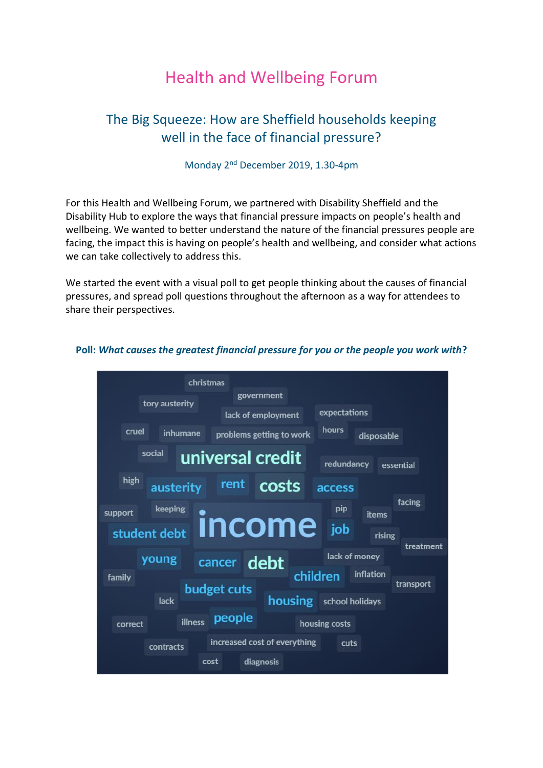# Health and Wellbeing Forum

## The Big Squeeze: How are Sheffield households keeping well in the face of financial pressure?

### Monday 2nd December 2019, 1.30-4pm

For this Health and Wellbeing Forum, we partnered with Disability Sheffield and the Disability Hub to explore the ways that financial pressure impacts on people's health and wellbeing. We wanted to better understand the nature of the financial pressures people are facing, the impact this is having on people's health and wellbeing, and consider what actions we can take collectively to address this.

We started the event with a visual poll to get people thinking about the causes of financial pressures, and spread poll questions throughout the afternoon as a way for attendees to share their perspectives.



#### **Poll:** *What causes the greatest financial pressure for you or the people you work with***?**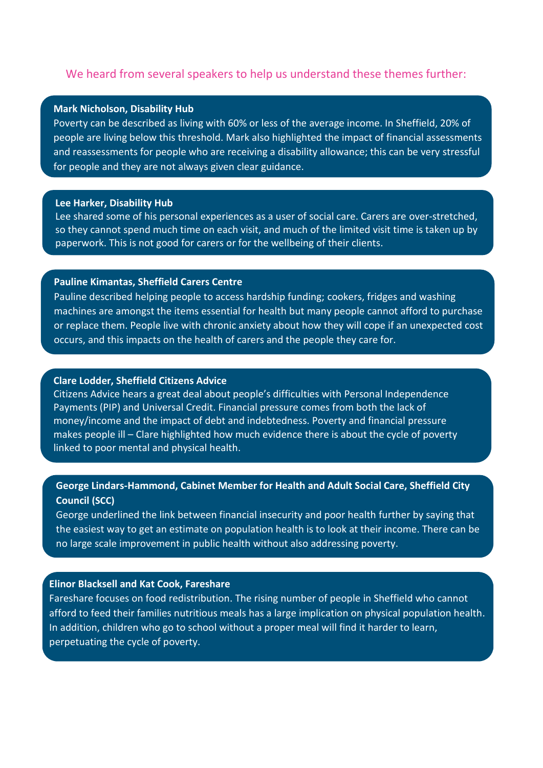#### We heard from several speakers to help us understand these themes further:

#### **Mark Nicholson, Disability Hub**

Poverty can be described as living with 60% or less of the average income. In Sheffield, 20% of people are living below this threshold. Mark also highlighted the impact of financial assessments and reassessments for people who are receiving a disability allowance; this can be very stressful for people and they are not always given clear guidance.

#### **Lee Harker, Disability Hub**

Lee shared some of his personal experiences as a user of social care. Carers are over-stretched, so they cannot spend much time on each visit, and much of the limited visit time is taken up by paperwork. This is not good for carers or for the wellbeing of their clients.

#### **Pauline Kimantas, Sheffield Carers Centre**

Pauline described helping people to access hardship funding; cookers, fridges and washing machines are amongst the items essential for health but many people cannot afford to purchase or replace them. People live with chronic anxiety about how they will cope if an unexpected cost occurs, and this impacts on the health of carers and the people they care for.

#### **Clare Lodder, Sheffield Citizens Advice**

Citizens Advice hears a great deal about people's difficulties with Personal Independence Payments (PIP) and Universal Credit. Financial pressure comes from both the lack of money/income and the impact of debt and indebtedness. Poverty and financial pressure makes people ill – Clare highlighted how much evidence there is about the cycle of poverty linked to poor mental and physical health.

#### **George Lindars-Hammond, Cabinet Member for Health and Adult Social Care, Sheffield City Council (SCC)**

George underlined the link between financial insecurity and poor health further by saying that the easiest way to get an estimate on population health is to look at their income. There can be no large scale improvement in public health without also addressing poverty.

#### **Elinor Blacksell and Kat Cook, Fareshare**

Fareshare focuses on food redistribution. The rising number of people in Sheffield who cannot afford to feed their families nutritious meals has a large implication on physical population health. In addition, children who go to school without a proper meal will find it harder to learn, perpetuating the cycle of poverty.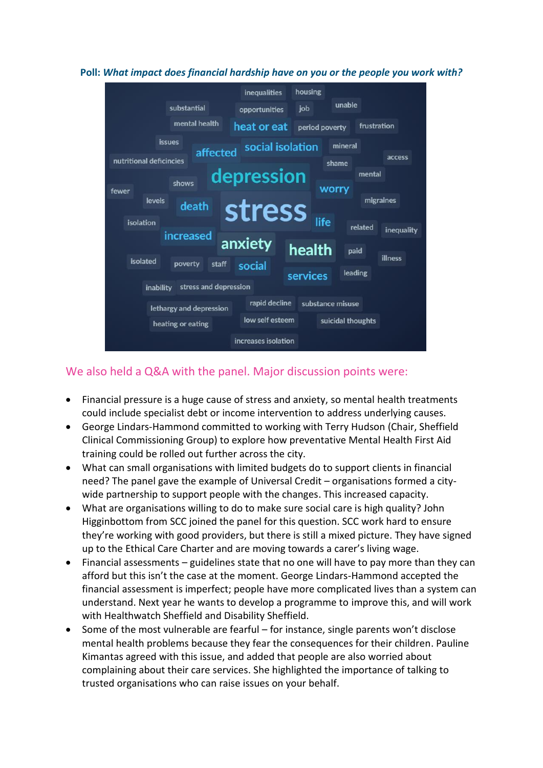#### **Poll:** *What impact does financial hardship have on you or the people you work with?*



### We also held a Q&A with the panel. Major discussion points were:

- Financial pressure is a huge cause of stress and anxiety, so mental health treatments could include specialist debt or income intervention to address underlying causes.
- George Lindars-Hammond committed to working with Terry Hudson (Chair, Sheffield Clinical Commissioning Group) to explore how preventative Mental Health First Aid training could be rolled out further across the city.
- What can small organisations with limited budgets do to support clients in financial need? The panel gave the example of Universal Credit – organisations formed a citywide partnership to support people with the changes. This increased capacity.
- What are organisations willing to do to make sure social care is high quality? John Higginbottom from SCC joined the panel for this question. SCC work hard to ensure they're working with good providers, but there is still a mixed picture. They have signed up to the Ethical Care Charter and are moving towards a carer's living wage.
- Financial assessments guidelines state that no one will have to pay more than they can afford but this isn't the case at the moment. George Lindars-Hammond accepted the financial assessment is imperfect; people have more complicated lives than a system can understand. Next year he wants to develop a programme to improve this, and will work with Healthwatch Sheffield and Disability Sheffield.
- Some of the most vulnerable are fearful for instance, single parents won't disclose mental health problems because they fear the consequences for their children. Pauline Kimantas agreed with this issue, and added that people are also worried about complaining about their care services. She highlighted the importance of talking to trusted organisations who can raise issues on your behalf.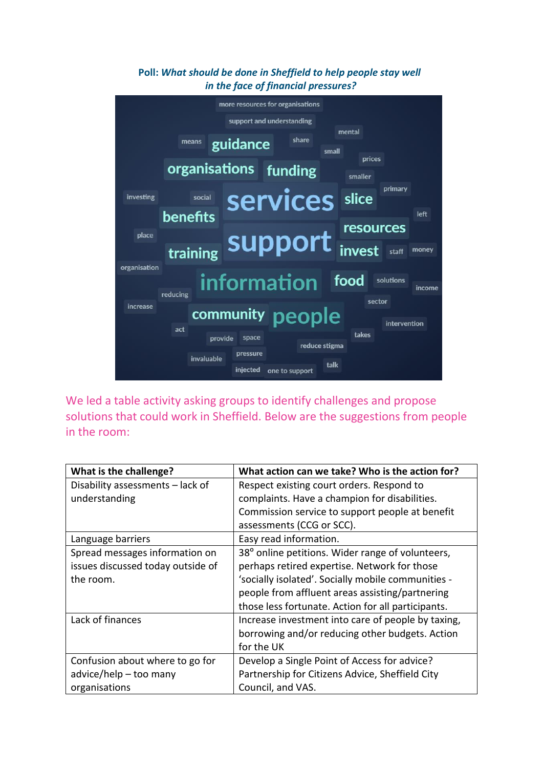#### more resources for organisations support and understanding mental means guidance share small prices organisations funding smaller primary services slice investing social benefits left resources place support training invest money staff organisation information food solutions income reducing sector increase community people intervention act takes provide space reduce stigma pressure invaluable talk injected one to support

We led a table activity asking groups to identify challenges and propose solutions that could work in Sheffield. Below are the suggestions from people in the room:

| What is the challenge?            | What action can we take? Who is the action for?    |
|-----------------------------------|----------------------------------------------------|
| Disability assessments - lack of  | Respect existing court orders. Respond to          |
| understanding                     | complaints. Have a champion for disabilities.      |
|                                   | Commission service to support people at benefit    |
|                                   | assessments (CCG or SCC).                          |
| Language barriers                 | Easy read information.                             |
| Spread messages information on    | 38° online petitions. Wider range of volunteers,   |
| issues discussed today outside of | perhaps retired expertise. Network for those       |
| the room.                         | 'socially isolated'. Socially mobile communities - |
|                                   | people from affluent areas assisting/partnering    |
|                                   | those less fortunate. Action for all participants. |
| Lack of finances                  | Increase investment into care of people by taxing, |
|                                   | borrowing and/or reducing other budgets. Action    |
|                                   | for the UK                                         |
| Confusion about where to go for   | Develop a Single Point of Access for advice?       |
| advice/help - too many            | Partnership for Citizens Advice, Sheffield City    |
| organisations                     | Council, and VAS.                                  |

### **Poll:** *What should be done in Sheffield to help people stay well in the face of financial pressures?*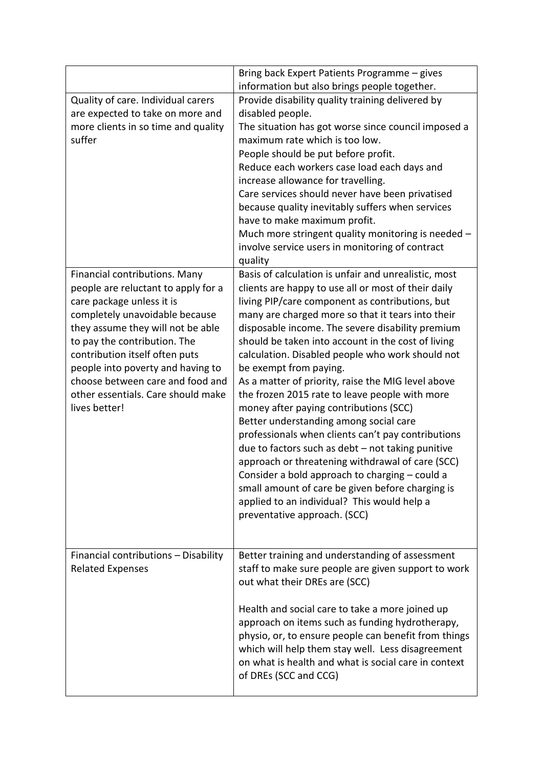|                                      | Bring back Expert Patients Programme - gives         |
|--------------------------------------|------------------------------------------------------|
|                                      | information but also brings people together.         |
| Quality of care. Individual carers   | Provide disability quality training delivered by     |
| are expected to take on more and     | disabled people.                                     |
| more clients in so time and quality  | The situation has got worse since council imposed a  |
| suffer                               | maximum rate which is too low.                       |
|                                      | People should be put before profit.                  |
|                                      | Reduce each workers case load each days and          |
|                                      | increase allowance for travelling.                   |
|                                      | Care services should never have been privatised      |
|                                      | because quality inevitably suffers when services     |
|                                      | have to make maximum profit.                         |
|                                      | Much more stringent quality monitoring is needed -   |
|                                      | involve service users in monitoring of contract      |
|                                      | quality                                              |
| Financial contributions. Many        | Basis of calculation is unfair and unrealistic, most |
| people are reluctant to apply for a  | clients are happy to use all or most of their daily  |
| care package unless it is            | living PIP/care component as contributions, but      |
| completely unavoidable because       | many are charged more so that it tears into their    |
| they assume they will not be able    | disposable income. The severe disability premium     |
| to pay the contribution. The         | should be taken into account in the cost of living   |
| contribution itself often puts       | calculation. Disabled people who work should not     |
| people into poverty and having to    | be exempt from paying.                               |
| choose between care and food and     | As a matter of priority, raise the MIG level above   |
| other essentials. Care should make   | the frozen 2015 rate to leave people with more       |
| lives better!                        | money after paying contributions (SCC)               |
|                                      | Better understanding among social care               |
|                                      | professionals when clients can't pay contributions   |
|                                      | due to factors such as debt - not taking punitive    |
|                                      | approach or threatening withdrawal of care (SCC)     |
|                                      | Consider a bold approach to charging - could a       |
|                                      | small amount of care be given before charging is     |
|                                      | applied to an individual? This would help a          |
|                                      | preventative approach. (SCC)                         |
|                                      |                                                      |
|                                      |                                                      |
| Financial contributions - Disability | Better training and understanding of assessment      |
| <b>Related Expenses</b>              | staff to make sure people are given support to work  |
|                                      | out what their DREs are (SCC)                        |
|                                      |                                                      |
|                                      | Health and social care to take a more joined up      |
|                                      | approach on items such as funding hydrotherapy,      |
|                                      | physio, or, to ensure people can benefit from things |
|                                      | which will help them stay well. Less disagreement    |
|                                      | on what is health and what is social care in context |
|                                      | of DREs (SCC and CCG)                                |
|                                      |                                                      |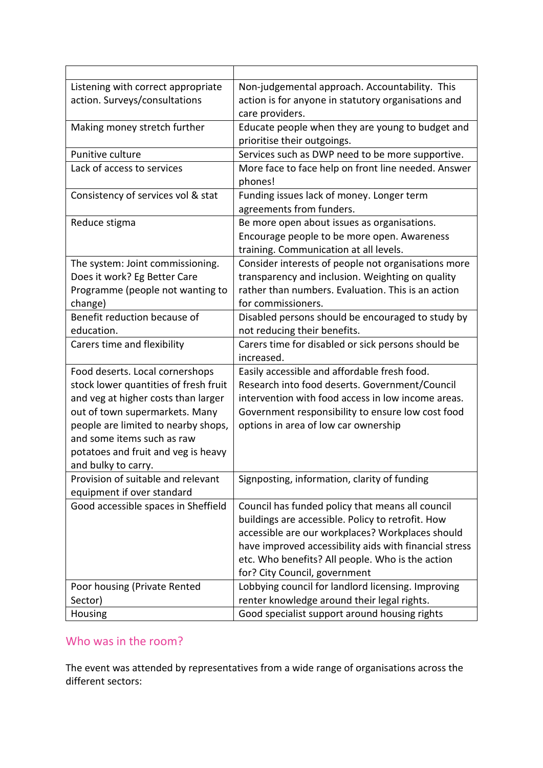| Listening with correct appropriate    | Non-judgemental approach. Accountability. This         |
|---------------------------------------|--------------------------------------------------------|
| action. Surveys/consultations         | action is for anyone in statutory organisations and    |
|                                       | care providers.                                        |
| Making money stretch further          | Educate people when they are young to budget and       |
|                                       | prioritise their outgoings.                            |
| Punitive culture                      | Services such as DWP need to be more supportive.       |
| Lack of access to services            | More face to face help on front line needed. Answer    |
|                                       | phones!                                                |
| Consistency of services vol & stat    | Funding issues lack of money. Longer term              |
|                                       | agreements from funders.                               |
| Reduce stigma                         | Be more open about issues as organisations.            |
|                                       | Encourage people to be more open. Awareness            |
|                                       | training. Communication at all levels.                 |
| The system: Joint commissioning.      | Consider interests of people not organisations more    |
| Does it work? Eg Better Care          | transparency and inclusion. Weighting on quality       |
| Programme (people not wanting to      | rather than numbers. Evaluation. This is an action     |
| change)                               | for commissioners.                                     |
| Benefit reduction because of          | Disabled persons should be encouraged to study by      |
| education.                            | not reducing their benefits.                           |
| Carers time and flexibility           | Carers time for disabled or sick persons should be     |
|                                       | increased.                                             |
| Food deserts. Local cornershops       | Easily accessible and affordable fresh food.           |
| stock lower quantities of fresh fruit | Research into food deserts. Government/Council         |
| and veg at higher costs than larger   | intervention with food access in low income areas.     |
| out of town supermarkets. Many        | Government responsibility to ensure low cost food      |
| people are limited to nearby shops,   | options in area of low car ownership                   |
| and some items such as raw            |                                                        |
| potatoes and fruit and veg is heavy   |                                                        |
| and bulky to carry.                   |                                                        |
| Provision of suitable and relevant    | Signposting, information, clarity of funding           |
| equipment if over standard            |                                                        |
| Good accessible spaces in Sheffield   | Council has funded policy that means all council       |
|                                       | buildings are accessible. Policy to retrofit. How      |
|                                       | accessible are our workplaces? Workplaces should       |
|                                       | have improved accessibility aids with financial stress |
|                                       | etc. Who benefits? All people. Who is the action       |
|                                       | for? City Council, government                          |
| Poor housing (Private Rented          | Lobbying council for landlord licensing. Improving     |
| Sector)                               | renter knowledge around their legal rights.            |
| Housing                               | Good specialist support around housing rights          |

## Who was in the room?

The event was attended by representatives from a wide range of organisations across the different sectors: